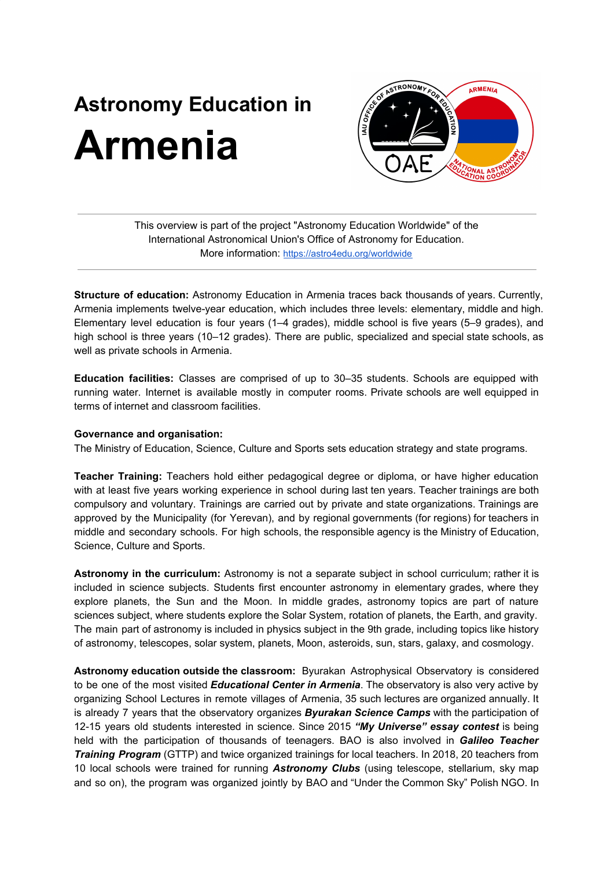## **Astronomy Education in Armenia**



This overview is part of the project "Astronomy Education Worldwide" of the International Astronomical Union's Office of Astronomy for Education. More information: <https://astro4edu.org/worldwide>

**Structure of education:** Astronomy Education in Armenia traces back thousands of years. Currently, Armenia implements twelve-year education, which includes three levels: elementary, middle and high. Elementary level education is four years (1–4 grades), middle school is five years (5–9 grades), and high school is three years (10–12 grades). There are public, specialized and special state schools, as well as private schools in Armenia.

**Education facilities:** Classes are comprised of up to 30–35 students. Schools are equipped with running water. Internet is available mostly in computer rooms. Private schools are well equipped in terms of internet and classroom facilities.

## **Governance and organisation:**

The Ministry of Education, Science, Culture and Sports sets education strategy and state programs.

**Teacher Training:** Teachers hold either pedagogical degree or diploma, or have higher education with at least five years working experience in school during last ten years. Teacher trainings are both compulsory and voluntary. Trainings are carried out by private and state organizations. Trainings are approved by the Municipality (for Yerevan), and by regional governments (for regions) for teachers in middle and secondary schools. For high schools, the responsible agency is the Ministry of Education, Science, Culture and Sports.

**Astronomy in the curriculum:** Astronomy is not a separate subject in school curriculum; rather it is included in science subjects. Students first encounter astronomy in elementary grades, where they explore planets, the Sun and the Moon. In middle grades, astronomy topics are part of nature sciences subject, where students explore the Solar System, rotation of planets, the Earth, and gravity. The main part of astronomy is included in physics subject in the 9th grade, including topics like history of astronomy, telescopes, solar system, planets, Moon, asteroids, sun, stars, galaxy, and cosmology.

**Astronomy education outside the classroom:** Byurakan Astrophysical Observatory is considered to be one of the most visited *Educational Center in Armenia*. The observatory is also very active by organizing School Lectures in remote villages of Armenia, 35 such lectures are organized annually. It is already 7 years that the observatory organizes *Byurakan Science Camps* with the participation of 12-15 years old students interested in science. Since 2015 *"My Universe" essay contest* is being held with the participation of thousands of teenagers. BAO is also involved in *Galileo Teacher Training Program* (GTTP) and twice organized trainings for local teachers. In 2018, 20 teachers from 10 local schools were trained for running *Astronomy Clubs* (using telescope, stellarium, sky map and so on), the program was organized jointly by BAO and "Under the Common Sky" Polish NGO. In